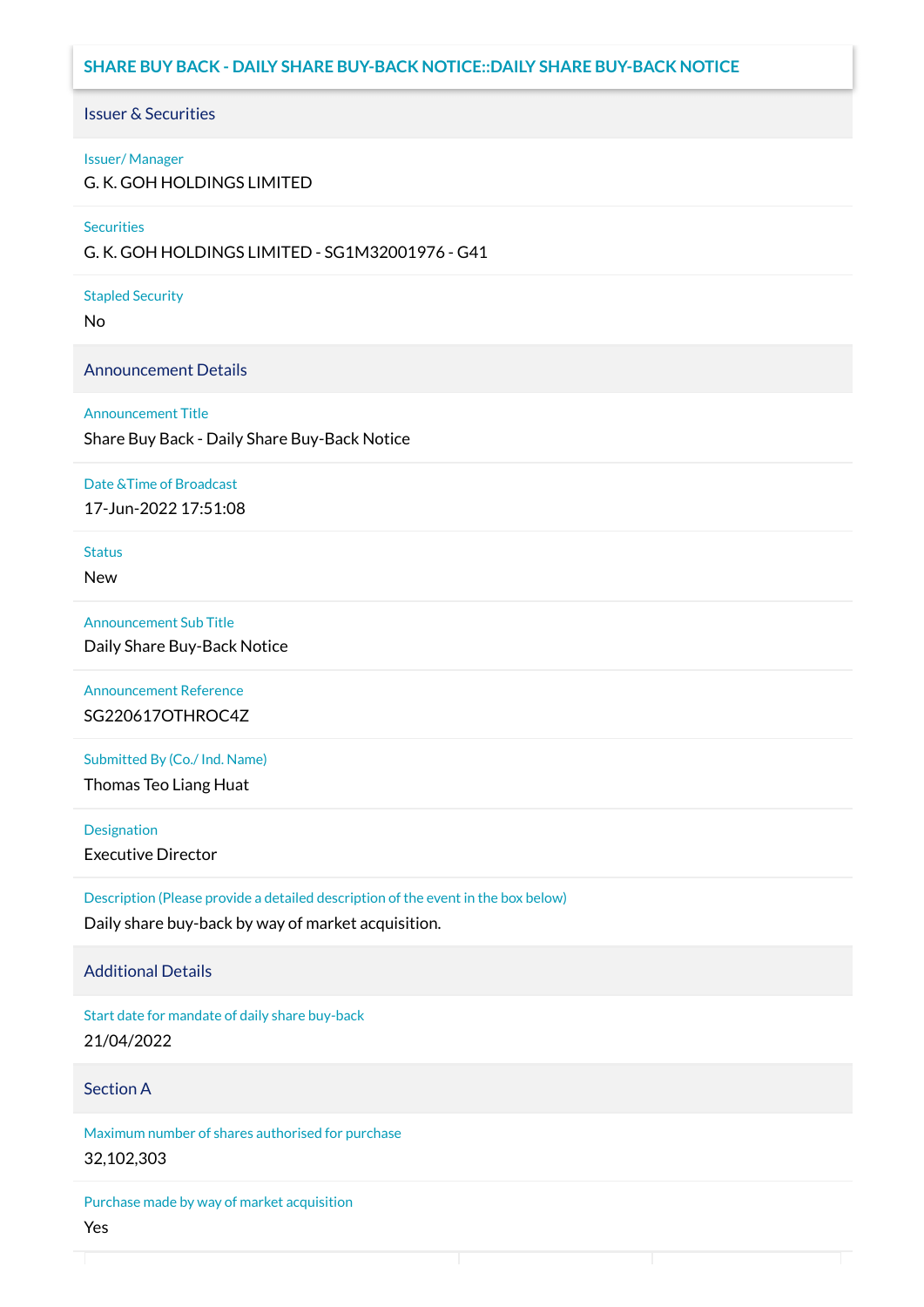# **SHARE BUY BACK - DAILY SHARE BUY-BACK NOTICE::DAILY SHARE BUY-BACK NOTICE**

#### Issuer & Securities

#### Issuer/ Manager

G. K. GOH HOLDINGS LIMITED

#### **Securities**

G. K. GOH HOLDINGS LIMITED - SG1M32001976 - G41

#### Stapled Security

No

#### Announcement Details

#### Announcement Title

Share Buy Back - Daily Share Buy-Back Notice

#### Date &Time of Broadcast

17-Jun-2022 17:51:08

# **Status**

New

## Announcement Sub Title

Daily Share Buy-Back Notice

## Announcement Reference SG220617OTHROC4Z

Submitted By (Co./ Ind. Name)

Thomas Teo Liang Huat

**Designation** 

Executive Director

Description (Please provide a detailed description of the event in the box below) Daily share buy-back by way of market acquisition.

#### Additional Details

Start date for mandate of daily share buy-back 21/04/2022

#### Section A

Maximum number of shares authorised for purchase 32,102,303

Purchase made by way of market acquisition Yes